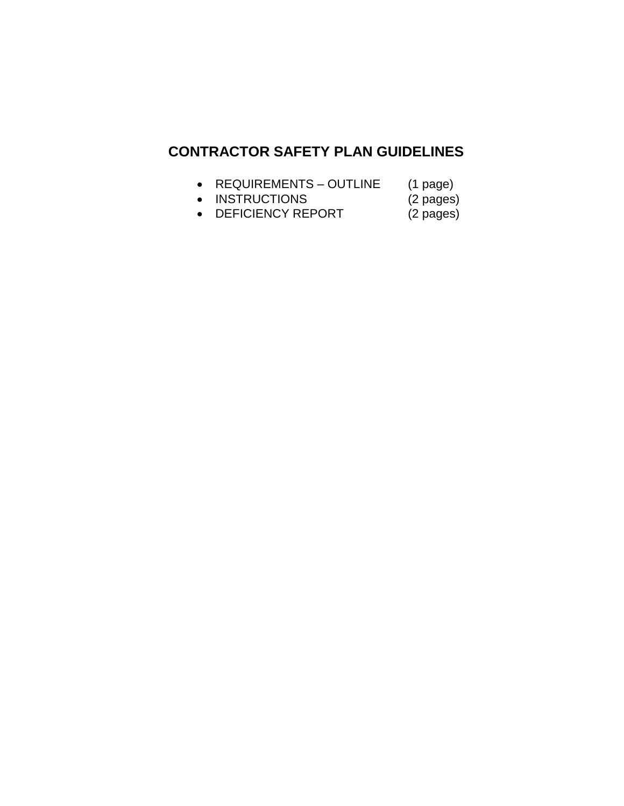## **CONTRACTOR SAFETY PLAN GUIDELINES**

- 
- REQUIREMENTS OUTLINE (1 page)<br>• INSTRUCTIONS (2 pages) • INSTRUCTIONS
- DEFICIENCY REPORT (2 pages)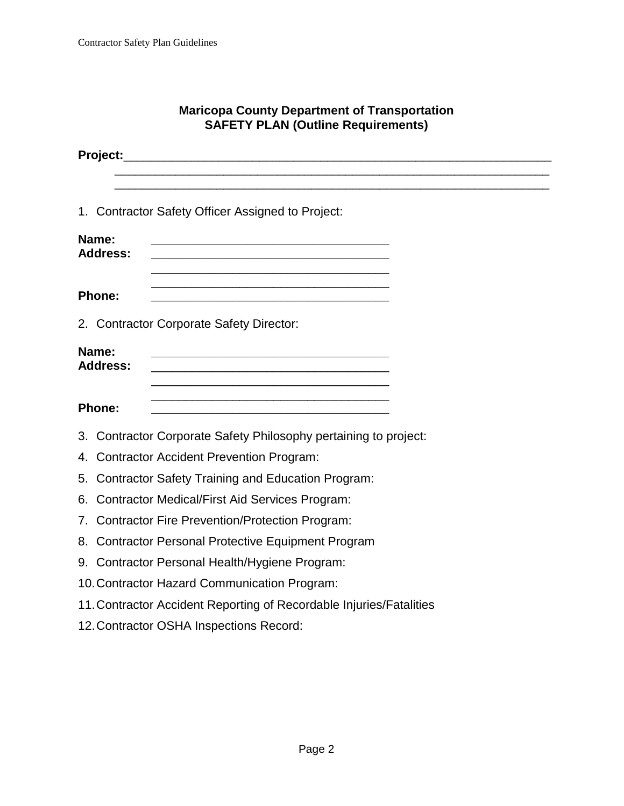#### **Maricopa County Department of Transportation SAFETY PLAN (Outline Requirements)**

|                          | 1. Contractor Safety Officer Assigned to Project:                                                                                                                                                                                                      |  |  |
|--------------------------|--------------------------------------------------------------------------------------------------------------------------------------------------------------------------------------------------------------------------------------------------------|--|--|
| Name:<br><b>Address:</b> | <u> 1989 - Johann John Stone, markin film yn y brening yn y brening yn y brening yn y brening y brening yn y bre</u>                                                                                                                                   |  |  |
| <b>Phone:</b>            | <u> 1989 - Johann Stein, marwolaethau a bhann an t-Amhair ann an t-Amhair an t-Amhair an t-Amhair an t-Amhair an</u>                                                                                                                                   |  |  |
|                          | 2. Contractor Corporate Safety Director:                                                                                                                                                                                                               |  |  |
| Name:<br><b>Address:</b> | <u> 1990 - Johann Barbara, martxa alemaniar argumento este alemanista este alemanista este alemanista este alem</u><br><u> 1989 - Johann Stoff, amerikansk politiker (d. 1989)</u><br><u> 1989 - Andrea Stadt Britain, amerikansk politik (* 1908)</u> |  |  |
| Phone:                   | <u> 1990 - Johann John Stone, markin film yn y brening yn y brening yn y brening yn y brening y brening yn y bre</u>                                                                                                                                   |  |  |
|                          | 3. Contractor Corporate Safety Philosophy pertaining to project:                                                                                                                                                                                       |  |  |
|                          | 4. Contractor Accident Prevention Program:                                                                                                                                                                                                             |  |  |
|                          | 5. Contractor Safety Training and Education Program:                                                                                                                                                                                                   |  |  |
|                          | 6. Contractor Medical/First Aid Services Program:                                                                                                                                                                                                      |  |  |
|                          | 7. Contractor Fire Prevention/Protection Program:                                                                                                                                                                                                      |  |  |
|                          | 8. Contractor Personal Protective Equipment Program                                                                                                                                                                                                    |  |  |
|                          | 9. Contractor Personal Health/Hygiene Program:                                                                                                                                                                                                         |  |  |
|                          | 10. Contractor Hazard Communication Program:                                                                                                                                                                                                           |  |  |
|                          | 11. Contractor Accident Reporting of Recordable Injuries/Fatalities                                                                                                                                                                                    |  |  |
|                          | 12. Contractor OSHA Inspections Record:                                                                                                                                                                                                                |  |  |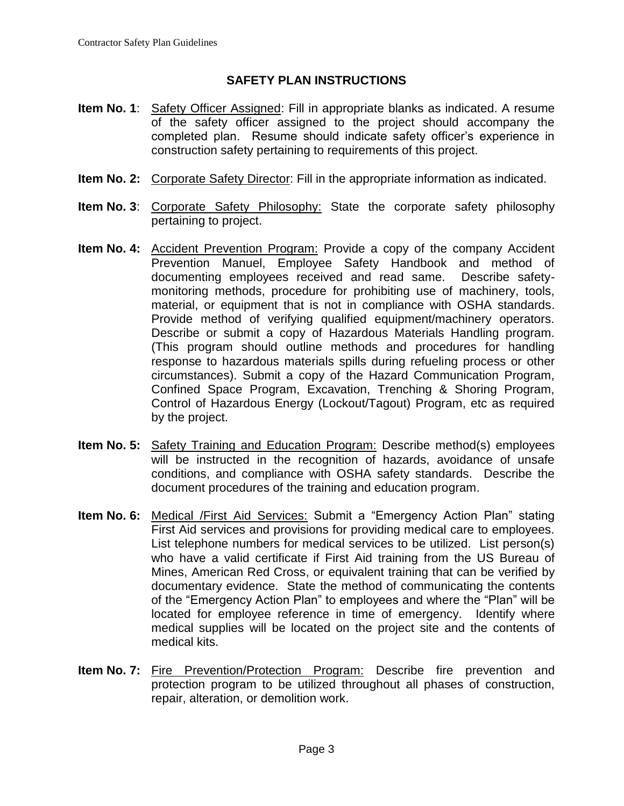#### **SAFETY PLAN INSTRUCTIONS**

- **Item No. 1:** Safety Officer Assigned: Fill in appropriate blanks as indicated. A resume of the safety officer assigned to the project should accompany the completed plan. Resume should indicate safety officer's experience in construction safety pertaining to requirements of this project.
- **Item No. 2:** Corporate Safety Director: Fill in the appropriate information as indicated.
- **Item No. 3**: Corporate Safety Philosophy: State the corporate safety philosophy pertaining to project.
- **Item No. 4:** Accident Prevention Program: Provide a copy of the company Accident Prevention Manuel, Employee Safety Handbook and method of documenting employees received and read same. Describe safetymonitoring methods, procedure for prohibiting use of machinery, tools, material, or equipment that is not in compliance with OSHA standards. Provide method of verifying qualified equipment/machinery operators. Describe or submit a copy of Hazardous Materials Handling program. (This program should outline methods and procedures for handling response to hazardous materials spills during refueling process or other circumstances). Submit a copy of the Hazard Communication Program, Confined Space Program, Excavation, Trenching & Shoring Program, Control of Hazardous Energy (Lockout/Tagout) Program, etc as required by the project.
- **Item No. 5:** Safety Training and Education Program: Describe method(s) employees will be instructed in the recognition of hazards, avoidance of unsafe conditions, and compliance with OSHA safety standards. Describe the document procedures of the training and education program.
- **Item No. 6:** Medical /First Aid Services: Submit a "Emergency Action Plan" stating First Aid services and provisions for providing medical care to employees. List telephone numbers for medical services to be utilized. List person(s) who have a valid certificate if First Aid training from the US Bureau of Mines, American Red Cross, or equivalent training that can be verified by documentary evidence. State the method of communicating the contents of the "Emergency Action Plan" to employees and where the "Plan" will be located for employee reference in time of emergency. Identify where medical supplies will be located on the project site and the contents of medical kits.
- **Item No. 7:** Fire Prevention/Protection Program: Describe fire prevention and protection program to be utilized throughout all phases of construction, repair, alteration, or demolition work.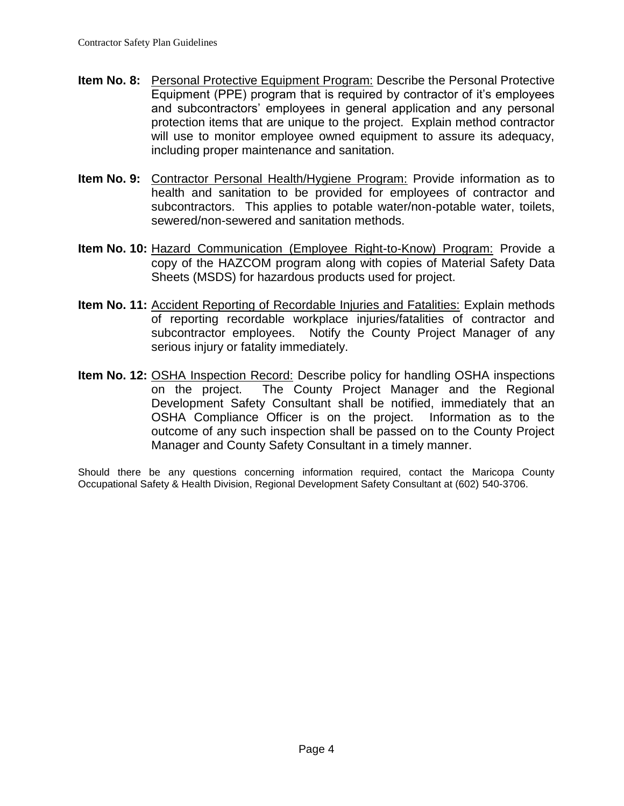- **Item No. 8:** Personal Protective Equipment Program: Describe the Personal Protective Equipment (PPE) program that is required by contractor of it's employees and subcontractors' employees in general application and any personal protection items that are unique to the project. Explain method contractor will use to monitor employee owned equipment to assure its adequacy, including proper maintenance and sanitation.
- **Item No. 9:** Contractor Personal Health/Hygiene Program: Provide information as to health and sanitation to be provided for employees of contractor and subcontractors. This applies to potable water/non-potable water, toilets, sewered/non-sewered and sanitation methods.
- **Item No. 10:** Hazard Communication (Employee Right-to-Know) Program: Provide a copy of the HAZCOM program along with copies of Material Safety Data Sheets (MSDS) for hazardous products used for project.
- **Item No. 11:** Accident Reporting of Recordable Injuries and Fatalities: Explain methods of reporting recordable workplace injuries/fatalities of contractor and subcontractor employees. Notify the County Project Manager of any serious injury or fatality immediately.
- **Item No. 12:** OSHA Inspection Record: Describe policy for handling OSHA inspections on the project. The County Project Manager and the Regional Development Safety Consultant shall be notified, immediately that an OSHA Compliance Officer is on the project. Information as to the outcome of any such inspection shall be passed on to the County Project Manager and County Safety Consultant in a timely manner.

Should there be any questions concerning information required, contact the Maricopa County Occupational Safety & Health Division, Regional Development Safety Consultant at (602) 540-3706.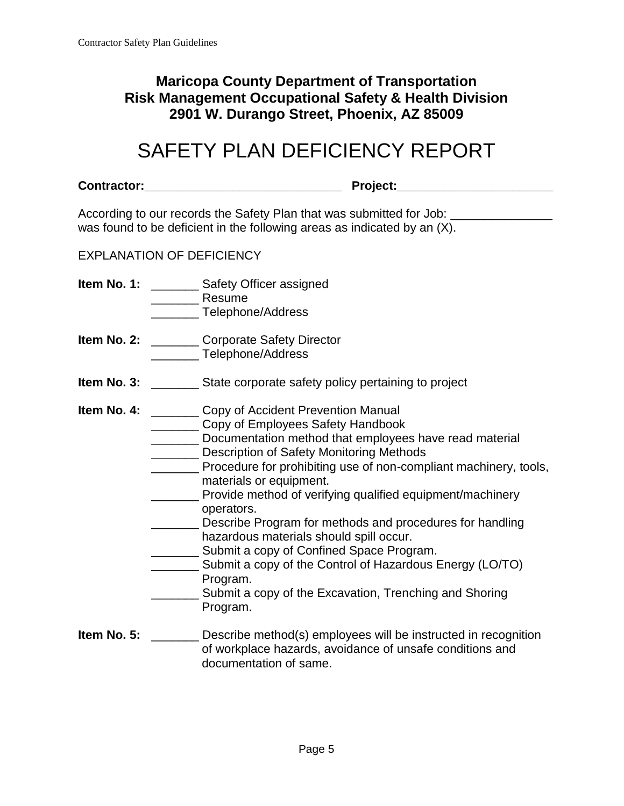### **Maricopa County Department of Transportation Risk Management Occupational Safety & Health Division 2901 W. Durango Street, Phoenix, AZ 85009**

# SAFETY PLAN DEFICIENCY REPORT

|                                  | Project:___________________________<br>Contractor:________________________________                                                                                                                                                                                                                                                                                                                                                                                                                                                                                                                                                                                                    |
|----------------------------------|---------------------------------------------------------------------------------------------------------------------------------------------------------------------------------------------------------------------------------------------------------------------------------------------------------------------------------------------------------------------------------------------------------------------------------------------------------------------------------------------------------------------------------------------------------------------------------------------------------------------------------------------------------------------------------------|
|                                  | According to our records the Safety Plan that was submitted for Job: ___________<br>was found to be deficient in the following areas as indicated by an (X).                                                                                                                                                                                                                                                                                                                                                                                                                                                                                                                          |
| <b>EXPLANATION OF DEFICIENCY</b> |                                                                                                                                                                                                                                                                                                                                                                                                                                                                                                                                                                                                                                                                                       |
|                                  | <b>Item No. 1:</b> _________ Safety Officer assigned<br>Resume<br>_______ Telephone/Address                                                                                                                                                                                                                                                                                                                                                                                                                                                                                                                                                                                           |
|                                  | <b>Item No. 2: _______</b> Corporate Safety Director<br>Telephone/Address                                                                                                                                                                                                                                                                                                                                                                                                                                                                                                                                                                                                             |
|                                  |                                                                                                                                                                                                                                                                                                                                                                                                                                                                                                                                                                                                                                                                                       |
|                                  | <b>Item No. 4:</b> _________ Copy of Accident Prevention Manual<br>Copy of Employees Safety Handbook<br>Documentation method that employees have read material<br>Description of Safety Monitoring Methods<br>Procedure for prohibiting use of non-compliant machinery, tools,<br>materials or equipment.<br>Provide method of verifying qualified equipment/machinery<br>operators.<br>Describe Program for methods and procedures for handling<br>hazardous materials should spill occur.<br>Submit a copy of Confined Space Program.<br>Submit a copy of the Control of Hazardous Energy (LO/TO)<br>Program.<br>Submit a copy of the Excavation, Trenching and Shoring<br>Program. |
| Item No. 5:                      | Describe method(s) employees will be instructed in recognition<br>of workplace hazards, avoidance of unsafe conditions and<br>documentation of same.                                                                                                                                                                                                                                                                                                                                                                                                                                                                                                                                  |